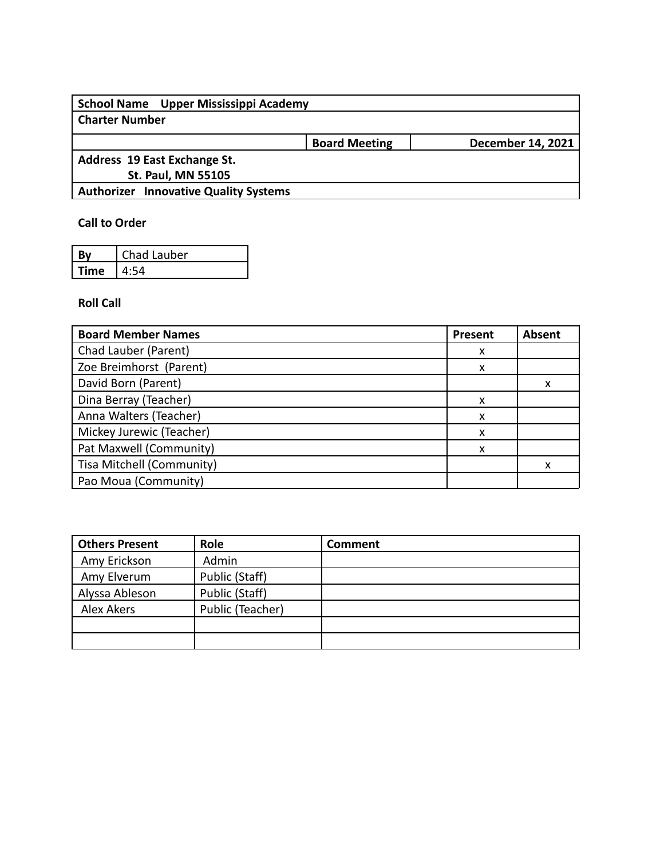| School Name Upper Mississippi Academy        |                      |                          |
|----------------------------------------------|----------------------|--------------------------|
| <b>Charter Number</b>                        |                      |                          |
|                                              | <b>Board Meeting</b> | <b>December 14, 2021</b> |
| Address 19 East Exchange St.                 |                      |                          |
| <b>St. Paul, MN 55105</b>                    |                      |                          |
| <b>Authorizer Innovative Quality Systems</b> |                      |                          |

# **Call to Order**

|      | Chad Lauber |
|------|-------------|
| ſime |             |

# **Roll Call**

| <b>Board Member Names</b> | Present | Absent |
|---------------------------|---------|--------|
| Chad Lauber (Parent)      | X       |        |
| Zoe Breimhorst (Parent)   | X       |        |
| David Born (Parent)       |         |        |
| Dina Berray (Teacher)     | X       |        |
| Anna Walters (Teacher)    | X       |        |
| Mickey Jurewic (Teacher)  | x       |        |
| Pat Maxwell (Community)   | x       |        |
| Tisa Mitchell (Community) |         |        |
| Pao Moua (Community)      |         |        |

| <b>Others Present</b> | Role             | Comment |
|-----------------------|------------------|---------|
| Amy Erickson          | Admin            |         |
| Amy Elverum           | Public (Staff)   |         |
| Alyssa Ableson        | Public (Staff)   |         |
| Alex Akers            | Public (Teacher) |         |
|                       |                  |         |
|                       |                  |         |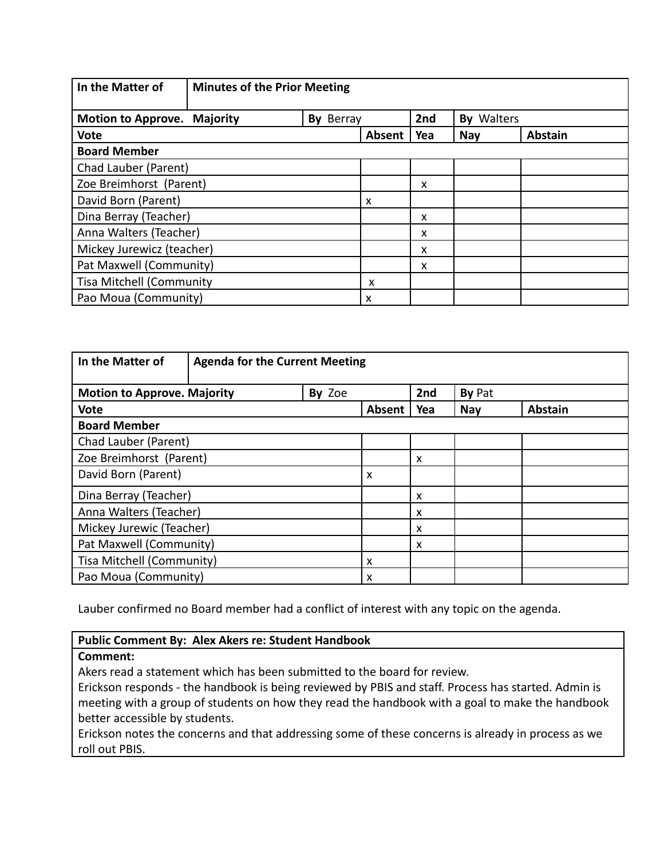| In the Matter of                   | <b>Minutes of the Prior Meeting</b> |           |        |     |                   |                |
|------------------------------------|-------------------------------------|-----------|--------|-----|-------------------|----------------|
| <b>Motion to Approve. Majority</b> |                                     | By Berray |        | 2nd | <b>By Walters</b> |                |
| <b>Vote</b>                        |                                     |           | Absent | Yea | <b>Nay</b>        | <b>Abstain</b> |
| <b>Board Member</b>                |                                     |           |        |     |                   |                |
| Chad Lauber (Parent)               |                                     |           |        |     |                   |                |
| Zoe Breimhorst (Parent)            |                                     |           |        | X   |                   |                |
| David Born (Parent)                |                                     |           | X      |     |                   |                |
| Dina Berray (Teacher)              |                                     |           |        | X   |                   |                |
| Anna Walters (Teacher)             |                                     |           |        | X   |                   |                |
| Mickey Jurewicz (teacher)          |                                     |           |        | x   |                   |                |
| Pat Maxwell (Community)            |                                     |           | X      |     |                   |                |
| <b>Tisa Mitchell (Community</b>    |                                     | x         |        |     |                   |                |
| Pao Moua (Community)               |                                     |           | X      |     |                   |                |

| In the Matter of                   | <b>Agenda for the Current Meeting</b> |        |                           |                           |            |                |
|------------------------------------|---------------------------------------|--------|---------------------------|---------------------------|------------|----------------|
| <b>Motion to Approve. Majority</b> |                                       | By Zoe |                           | 2nd                       | By Pat     |                |
| <b>Vote</b>                        |                                       |        | Absent                    | Yea                       | <b>Nay</b> | <b>Abstain</b> |
| <b>Board Member</b>                |                                       |        |                           |                           |            |                |
| Chad Lauber (Parent)               |                                       |        |                           |                           |            |                |
| Zoe Breimhorst (Parent)            |                                       |        | $\boldsymbol{\mathsf{x}}$ |                           |            |                |
| David Born (Parent)                |                                       |        | X                         |                           |            |                |
| Dina Berray (Teacher)              |                                       |        |                           | $\boldsymbol{\mathsf{x}}$ |            |                |
|                                    | Anna Walters (Teacher)                |        |                           | X                         |            |                |
| Mickey Jurewic (Teacher)           |                                       |        | $\boldsymbol{\mathsf{x}}$ |                           |            |                |
| Pat Maxwell (Community)            |                                       |        | X                         |                           |            |                |
| Tisa Mitchell (Community)          |                                       |        | X                         |                           |            |                |
| Pao Moua (Community)               |                                       |        | X                         |                           |            |                |

Lauber confirmed no Board member had a conflict of interest with any topic on the agenda.

#### **Public Comment By: Alex Akers re: Student Handbook**

#### **Comment:**

Akers read a statement which has been submitted to the board for review.

Erickson responds - the handbook is being reviewed by PBIS and staff. Process has started. Admin is meeting with a group of students on how they read the handbook with a goal to make the handbook better accessible by students.

Erickson notes the concerns and that addressing some of these concerns is already in process as we roll out PBIS.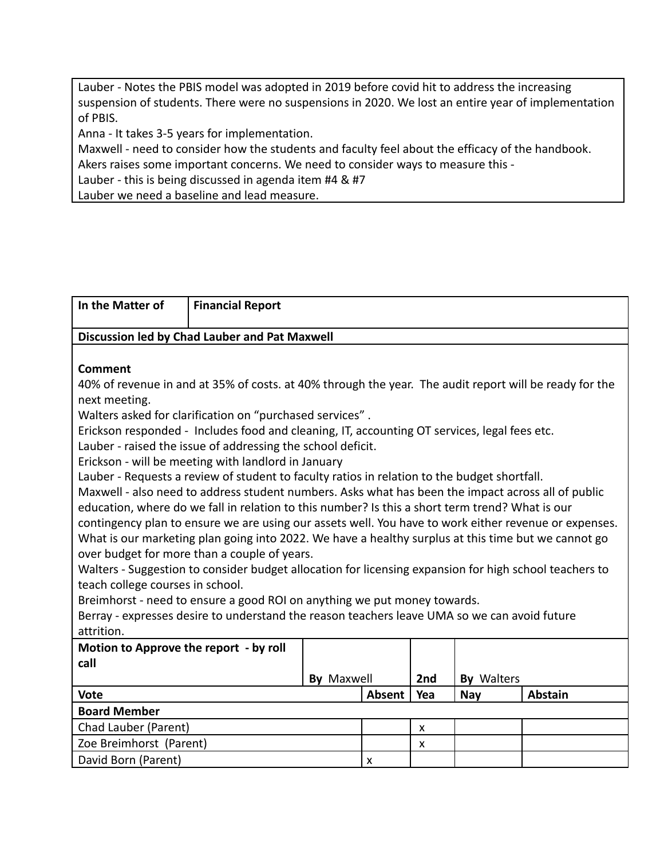Lauber - Notes the PBIS model was adopted in 2019 before covid hit to address the increasing suspension of students. There were no suspensions in 2020. We lost an entire year of implementation of PBIS.

Anna - It takes 3-5 years for implementation.

Maxwell - need to consider how the students and faculty feel about the efficacy of the handbook. Akers raises some important concerns. We need to consider ways to measure this -

Lauber - this is being discussed in agenda item #4 & #7

Lauber we need a baseline and lead measure.

| In the Matter of                              | <b>Financial Report</b>                                                                                            |                   |        |     |            |                |
|-----------------------------------------------|--------------------------------------------------------------------------------------------------------------------|-------------------|--------|-----|------------|----------------|
| Discussion led by Chad Lauber and Pat Maxwell |                                                                                                                    |                   |        |     |            |                |
|                                               |                                                                                                                    |                   |        |     |            |                |
| <b>Comment</b>                                |                                                                                                                    |                   |        |     |            |                |
|                                               | 40% of revenue in and at 35% of costs. at 40% through the year. The audit report will be ready for the             |                   |        |     |            |                |
| next meeting.                                 |                                                                                                                    |                   |        |     |            |                |
|                                               | Walters asked for clarification on "purchased services".                                                           |                   |        |     |            |                |
|                                               | Erickson responded - Includes food and cleaning, IT, accounting OT services, legal fees etc.                       |                   |        |     |            |                |
|                                               | Lauber - raised the issue of addressing the school deficit.<br>Erickson - will be meeting with landlord in January |                   |        |     |            |                |
|                                               | Lauber - Requests a review of student to faculty ratios in relation to the budget shortfall.                       |                   |        |     |            |                |
|                                               | Maxwell - also need to address student numbers. Asks what has been the impact across all of public                 |                   |        |     |            |                |
|                                               | education, where do we fall in relation to this number? Is this a short term trend? What is our                    |                   |        |     |            |                |
|                                               | contingency plan to ensure we are using our assets well. You have to work either revenue or expenses.              |                   |        |     |            |                |
|                                               | What is our marketing plan going into 2022. We have a healthy surplus at this time but we cannot go                |                   |        |     |            |                |
|                                               | over budget for more than a couple of years.                                                                       |                   |        |     |            |                |
|                                               | Walters - Suggestion to consider budget allocation for licensing expansion for high school teachers to             |                   |        |     |            |                |
| teach college courses in school.              |                                                                                                                    |                   |        |     |            |                |
|                                               | Breimhorst - need to ensure a good ROI on anything we put money towards.                                           |                   |        |     |            |                |
| attrition.                                    | Berray - expresses desire to understand the reason teachers leave UMA so we can avoid future                       |                   |        |     |            |                |
| Motion to Approve the report - by roll        |                                                                                                                    |                   |        |     |            |                |
| call                                          |                                                                                                                    |                   |        |     |            |                |
|                                               |                                                                                                                    | <b>By Maxwell</b> |        | 2nd | By Walters |                |
| <b>Vote</b>                                   |                                                                                                                    |                   | Absent | Yea | <b>Nay</b> | <b>Abstain</b> |
| <b>Board Member</b>                           |                                                                                                                    |                   |        |     |            |                |
| Chad Lauber (Parent)                          |                                                                                                                    |                   |        | X   |            |                |
| Zoe Breimhorst (Parent)                       |                                                                                                                    |                   |        | X   |            |                |
| David Born (Parent)                           |                                                                                                                    |                   | X      |     |            |                |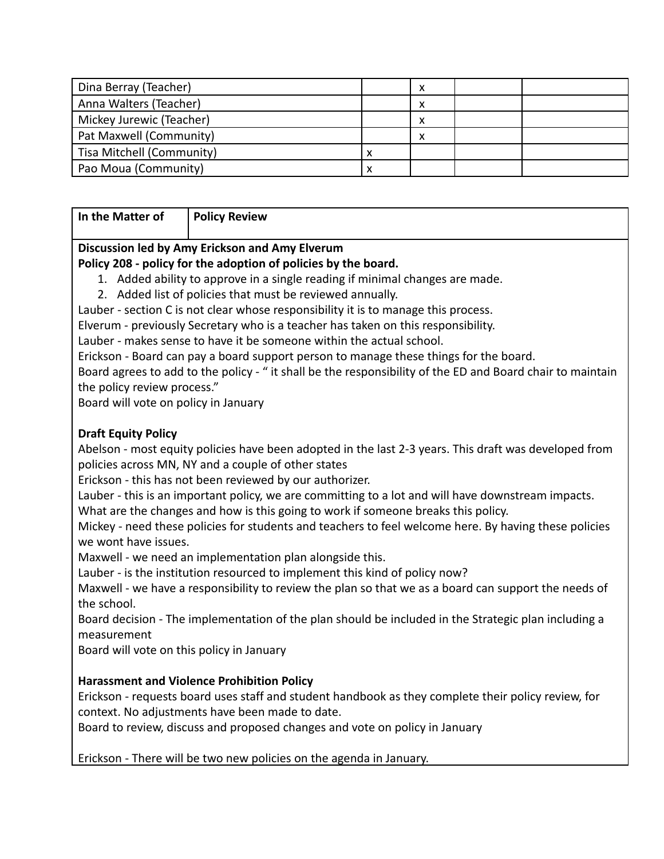| Dina Berray (Teacher)     | ́ |  |
|---------------------------|---|--|
| Anna Walters (Teacher)    | ́ |  |
| Mickey Jurewic (Teacher)  | ́ |  |
| Pat Maxwell (Community)   | Λ |  |
| Tisa Mitchell (Community) |   |  |
| Pao Moua (Community)      |   |  |

**In the Matter of Policy Review**

# **Discussion led by Amy Erickson and Amy Elverum**

### **Policy 208 - policy for the adoption of policies by the board.**

- 1. Added ability to approve in a single reading if minimal changes are made.
- 2. Added list of policies that must be reviewed annually.

Lauber - section C is not clear whose responsibility it is to manage this process.

Elverum - previously Secretary who is a teacher has taken on this responsibility.

Lauber - makes sense to have it be someone within the actual school.

Erickson - Board can pay a board support person to manage these things for the board.

Board agrees to add to the policy - " it shall be the responsibility of the ED and Board chair to maintain the policy review process."

Board will vote on policy in January

## **Draft Equity Policy**

Abelson - most equity policies have been adopted in the last 2-3 years. This draft was developed from policies across MN, NY and a couple of other states

Erickson - this has not been reviewed by our authorizer.

Lauber - this is an important policy, we are committing to a lot and will have downstream impacts.

What are the changes and how is this going to work if someone breaks this policy.

Mickey - need these policies for students and teachers to feel welcome here. By having these policies we wont have issues.

Maxwell - we need an implementation plan alongside this.

Lauber - is the institution resourced to implement this kind of policy now?

Maxwell - we have a responsibility to review the plan so that we as a board can support the needs of the school.

Board decision - The implementation of the plan should be included in the Strategic plan including a measurement

Board will vote on this policy in January

## **Harassment and Violence Prohibition Policy**

Erickson - requests board uses staff and student handbook as they complete their policy review, for context. No adjustments have been made to date.

Board to review, discuss and proposed changes and vote on policy in January

Erickson - There will be two new policies on the agenda in January.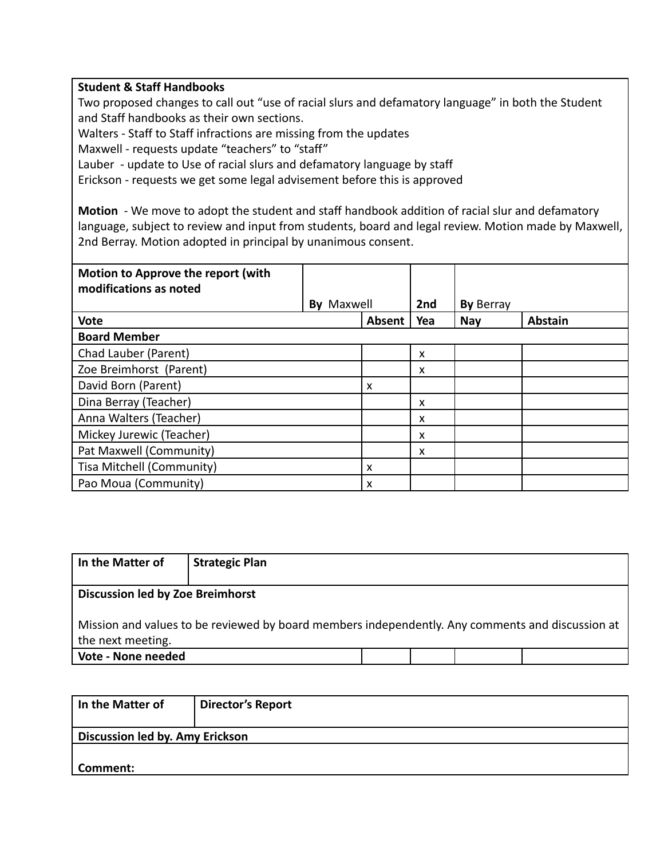#### **Student & Staff Handbooks**

Two proposed changes to call out "use of racial slurs and defamatory language" in both the Student and Staff handbooks as their own sections.

Walters - Staff to Staff infractions are missing from the updates

Maxwell - requests update "teachers" to "staff"

Lauber - update to Use of racial slurs and defamatory language by staff

Erickson - requests we get some legal advisement before this is approved

**Motion** - We move to adopt the student and staff handbook addition of racial slur and defamatory language, subject to review and input from students, board and legal review. Motion made by Maxwell, 2nd Berray. Motion adopted in principal by unanimous consent.

| Motion to Approve the report (with<br>modifications as noted |                   |        |     |                  |                |
|--------------------------------------------------------------|-------------------|--------|-----|------------------|----------------|
|                                                              | <b>By Maxwell</b> |        | 2nd | <b>By Berray</b> |                |
| <b>Vote</b>                                                  |                   | Absent | Yea | <b>Nay</b>       | <b>Abstain</b> |
| <b>Board Member</b>                                          |                   |        |     |                  |                |
| Chad Lauber (Parent)                                         |                   |        | x   |                  |                |
| Zoe Breimhorst (Parent)                                      |                   |        | X   |                  |                |
| David Born (Parent)                                          |                   | X      |     |                  |                |
| Dina Berray (Teacher)                                        |                   |        | X   |                  |                |
| Anna Walters (Teacher)                                       |                   |        | x   |                  |                |
| Mickey Jurewic (Teacher)                                     |                   |        | X   |                  |                |
| Pat Maxwell (Community)                                      |                   |        | X   |                  |                |
| Tisa Mitchell (Community)                                    |                   | x      |     |                  |                |
| Pao Moua (Community)                                         |                   | x      |     |                  |                |

| In the Matter of                        | <b>Strategic Plan</b>                                                                            |  |  |  |
|-----------------------------------------|--------------------------------------------------------------------------------------------------|--|--|--|
| <b>Discussion led by Zoe Breimhorst</b> |                                                                                                  |  |  |  |
| the next meeting.                       | Mission and values to be reviewed by board members independently. Any comments and discussion at |  |  |  |
| Vote - None needed                      |                                                                                                  |  |  |  |

| In the Matter of                       | <b>Director's Report</b> |  |
|----------------------------------------|--------------------------|--|
| <b>Discussion led by. Amy Erickson</b> |                          |  |
|                                        |                          |  |
| Comment:                               |                          |  |